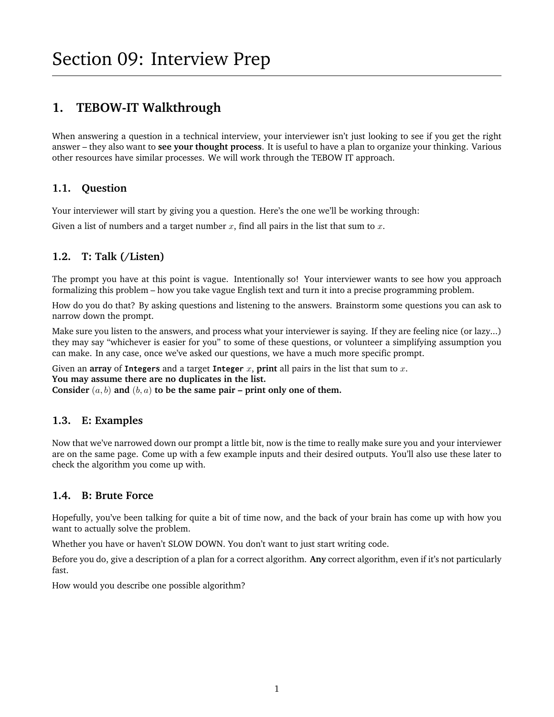# **1. TEBOW-IT Walkthrough**

When answering a question in a technical interview, your interviewer isn't just looking to see if you get the right answer – they also want to **see your thought process**. It is useful to have a plan to organize your thinking. Various other resources have similar processes. We will work through the TEBOW IT approach.

## **1.1. Question**

Your interviewer will start by giving you a question. Here's the one we'll be working through:

Given a list of numbers and a target number  $x$ , find all pairs in the list that sum to  $x$ .

## **1.2. T: Talk (/Listen)**

The prompt you have at this point is vague. Intentionally so! Your interviewer wants to see how you approach formalizing this problem – how you take vague English text and turn it into a precise programming problem.

How do you do that? By asking questions and listening to the answers. Brainstorm some questions you can ask to narrow down the prompt.

Make sure you listen to the answers, and process what your interviewer is saying. If they are feeling nice (or lazy...) they may say "whichever is easier for you" to some of these questions, or volunteer a simplifying assumption you can make. In any case, once we've asked our questions, we have a much more specific prompt.

Given an **array** of **Integers** and a target **Integer** x, **print** all pairs in the list that sum to x. **You may assume there are no duplicates in the list.**

Consider  $(a, b)$  and  $(b, a)$  to be the same pair – print only one of them.

## **1.3. E: Examples**

Now that we've narrowed down our prompt a little bit, now is the time to really make sure you and your interviewer are on the same page. Come up with a few example inputs and their desired outputs. You'll also use these later to check the algorithm you come up with.

## **1.4. B: Brute Force**

Hopefully, you've been talking for quite a bit of time now, and the back of your brain has come up with how you want to actually solve the problem.

Whether you have or haven't SLOW DOWN. You don't want to just start writing code.

Before you do, give a description of a plan for a correct algorithm. **Any** correct algorithm, even if it's not particularly fast.

How would you describe one possible algorithm?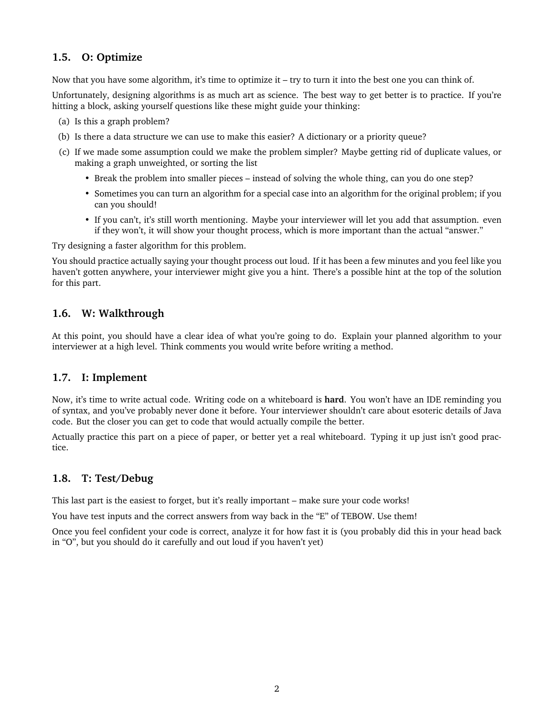## **1.5. O: Optimize**

Now that you have some algorithm, it's time to optimize it – try to turn it into the best one you can think of.

Unfortunately, designing algorithms is as much art as science. The best way to get better is to practice. If you're hitting a block, asking yourself questions like these might guide your thinking:

- (a) Is this a graph problem?
- (b) Is there a data structure we can use to make this easier? A dictionary or a priority queue?
- (c) If we made some assumption could we make the problem simpler? Maybe getting rid of duplicate values, or making a graph unweighted, or sorting the list
	- Break the problem into smaller pieces instead of solving the whole thing, can you do one step?
	- Sometimes you can turn an algorithm for a special case into an algorithm for the original problem; if you can you should!
	- If you can't, it's still worth mentioning. Maybe your interviewer will let you add that assumption. even if they won't, it will show your thought process, which is more important than the actual "answer."

Try designing a faster algorithm for this problem.

You should practice actually saying your thought process out loud. If it has been a few minutes and you feel like you haven't gotten anywhere, your interviewer might give you a hint. There's a possible hint at the top of the solution for this part.

## **1.6. W: Walkthrough**

At this point, you should have a clear idea of what you're going to do. Explain your planned algorithm to your interviewer at a high level. Think comments you would write before writing a method.

#### **1.7. I: Implement**

Now, it's time to write actual code. Writing code on a whiteboard is **hard**. You won't have an IDE reminding you of syntax, and you've probably never done it before. Your interviewer shouldn't care about esoteric details of Java code. But the closer you can get to code that would actually compile the better.

Actually practice this part on a piece of paper, or better yet a real whiteboard. Typing it up just isn't good practice.

#### **1.8. T: Test/Debug**

This last part is the easiest to forget, but it's really important – make sure your code works!

You have test inputs and the correct answers from way back in the "E" of TEBOW. Use them!

Once you feel confident your code is correct, analyze it for how fast it is (you probably did this in your head back in "O", but you should do it carefully and out loud if you haven't yet)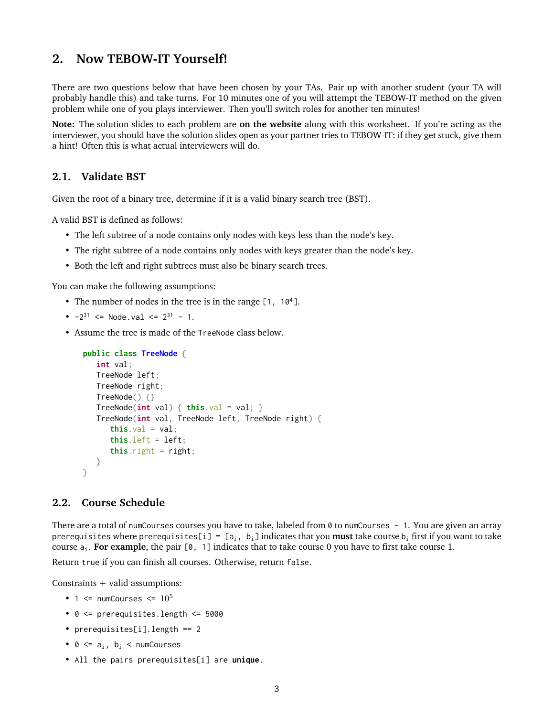## **2. Now TEBOW-IT Yourself!**

There are two questions below that have been chosen by your TAs. Pair up with another student (your TA will probably handle this) and take turns. For 10 minutes one of you will attempt the TEBOW-IT method on the given problem while one of you plays interviewer. Then you'll switch roles for another ten minutes!

**Note:** The solution slides to each problem are **on the website** along with this worksheet. If you're acting as the interviewer, you should have the solution slides open as your partner tries to TEBOW-IT: if they get stuck, give them a hint! Often this is what actual interviewers will do.

#### **2.1. Validate BST**

Given the root of a binary tree, determine if it is a valid binary search tree (BST).

A valid BST is defined as follows:

- The left subtree of a node contains only nodes with keys less than the node's key.
- The right subtree of a node contains only nodes with keys greater than the node's key.
- Both the left and right subtrees must also be binary search trees.

You can make the following assumptions:

- The number of nodes in the tree is in the range [1, 10<sup>4</sup>].
- $-2^{31}$  <= Node.val <=  $2^{31}$  1.
- Assume the tree is made of the TreeNode class below.

```
public class TreeNode {
  int val;
  TreeNode left;
  TreeNode right;
  TreeNode() {}
  TreeNode(int val) { this.val = val; }TreeNode(int val, TreeNode left, TreeNode right) {
      this val = val;
      this. left = left:
      this.right = right;
  }
}
```
#### **2.2. Course Schedule**

There are a total of numCourses courses you have to take, labeled from 0 to numCourses - 1. You are given an array prerequisites where prerequisites[i] =  $[a_i, b_i]$  indicates that you **must** take course  $b_i$  first if you want to take course ai. **For example**, the pair [0, 1] indicates that to take course 0 you have to first take course 1.

Return true if you can finish all courses. Otherwise, return false.

Constraints + valid assumptions:

- 1  $\leq$  numCourses  $\leq$  10<sup>5</sup>
- 0 <= prerequisites.length <= 5000
- prerequisites[i].length == 2
- $0 \leq a_i$ ,  $b_i \leq$  numCourses
- All the pairs prerequisites[i] are **unique**.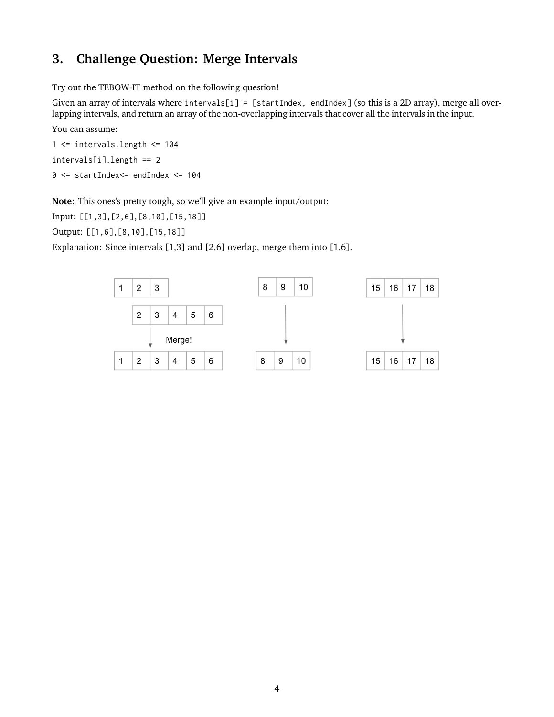## **3. Challenge Question: Merge Intervals**

Try out the TEBOW-IT method on the following question!

Given an array of intervals where intervals[i] = [startIndex, endIndex] (so this is a 2D array), merge all overlapping intervals, and return an array of the non-overlapping intervals that cover all the intervals in the input.

You can assume:

1 <= intervals.length <= 104 intervals[i].length == 2 0 <= startIndex<= endIndex <= 104

**Note:** This ones's pretty tough, so we'll give an example input/output:

Input: [[1,3],[2,6],[8,10],[15,18]]

Output: [[1,6],[8,10],[15,18]]

Explanation: Since intervals [1,3] and [2,6] overlap, merge them into [1,6].